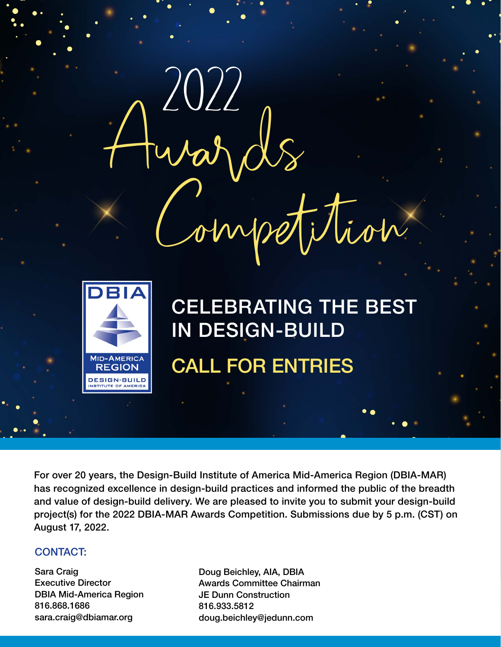

For over 20 years, the Design-Build Institute of America Mid-America Region (DBIA-MAR) has recognized excellence in design-build practices and informed the public of the breadth and value of design-build delivery. We are pleased to invite you to submit your design-build project(s) for the 2022 DBIA-MAR Awards Competition. Submissions due by 5 p.m. (CST) on August 17, 2022.

# CONTACT:

Sara Craig Executive Director DBIA Mid-America Region 816.868.1686 sara.craig@dbiamar.org

Doug Beichley, AIA, DBIA Awards Committee Chairman JE Dunn Construction 816.933.5812 doug.beichley@jedunn.com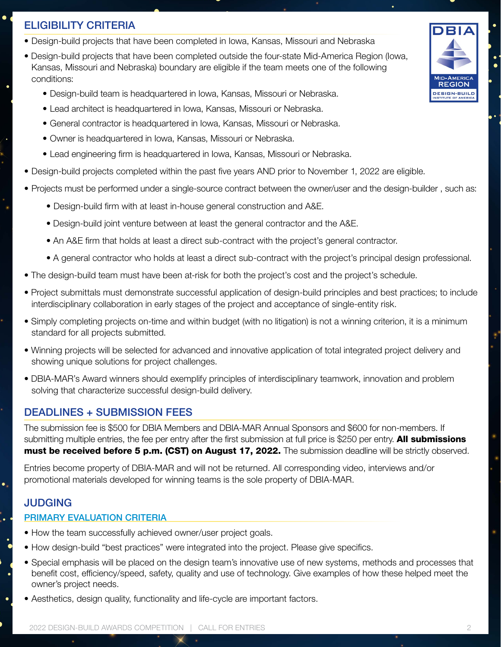# ELIGIBILITY CRITERIA

- Design-build projects that have been completed in Iowa, Kansas, Missouri and Nebraska
- Design-build projects that have been completed outside the four-state Mid-America Region (Iowa, Kansas, Missouri and Nebraska) boundary are eligible if the team meets one of the following conditions:
	- Design-build team is headquartered in Iowa, Kansas, Missouri or Nebraska.
	- Lead architect is headquartered in Iowa, Kansas, Missouri or Nebraska.
	- General contractor is headquartered in Iowa, Kansas, Missouri or Nebraska.
	- Owner is headquartered in Iowa, Kansas, Missouri or Nebraska.
	- Lead engineering firm is headquartered in Iowa, Kansas, Missouri or Nebraska.
- Design-build projects completed within the past five years AND prior to November 1, 2022 are eligible.
- Projects must be performed under a single-source contract between the owner/user and the design-builder , such as:
	- Design-build firm with at least in-house general construction and A&E.
	- Design-build joint venture between at least the general contractor and the A&E.
	- An A&E firm that holds at least a direct sub-contract with the project's general contractor.
	- A general contractor who holds at least a direct sub-contract with the project's principal design professional.
- The design-build team must have been at-risk for both the project's cost and the project's schedule.
- Project submittals must demonstrate successful application of design-build principles and best practices; to include interdisciplinary collaboration in early stages of the project and acceptance of single-entity risk.
- Simply completing projects on-time and within budget (with no litigation) is not a winning criterion, it is a minimum standard for all projects submitted.
- Winning projects will be selected for advanced and innovative application of total integrated project delivery and showing unique solutions for project challenges.
- DBIA-MAR's Award winners should exemplify principles of interdisciplinary teamwork, innovation and problem solving that characterize successful design-build delivery.

# DEADLINES + SUBMISSION FEES

The submission fee is \$500 for DBIA Members and DBIA-MAR Annual Sponsors and \$600 for non-members. If submitting multiple entries, the fee per entry after the first submission at full price is \$250 per entry. All submissions must be received before 5 p.m. (CST) on August 17, 2022. The submission deadline will be strictly observed.

Entries become property of DBIA-MAR and will not be returned. All corresponding video, interviews and/or promotional materials developed for winning teams is the sole property of DBIA-MAR.

# JUDGING

 $\bullet$ 

þ.

#### PRIMARY EVALUATION CRITERIA

- How the team successfully achieved owner/user project goals.
- How design-build "best practices" were integrated into the project. Please give specifics.
- Special emphasis will be placed on the design team's innovative use of new systems, methods and processes that benefit cost, efficiency/speed, safety, quality and use of technology. Give examples of how these helped meet the owner's project needs.
- Aesthetics, design quality, functionality and life-cycle are important factors.

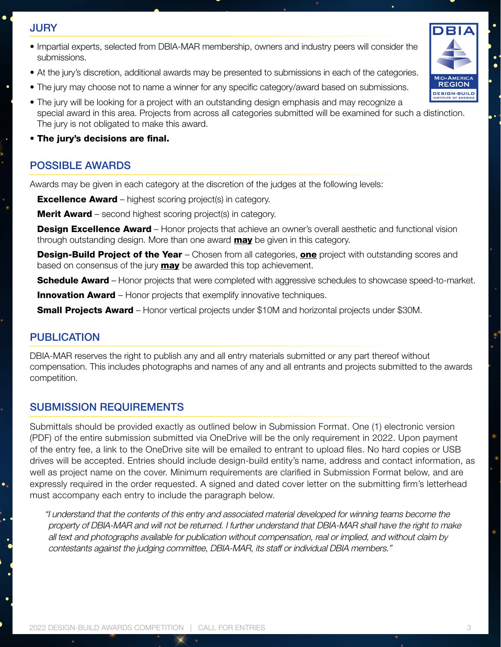# JURY

- Impartial experts, selected from DBIA-MAR membership, owners and industry peers will consider the submissions.
- At the jury's discretion, additional awards may be presented to submissions in each of the categories.
- The jury may choose not to name a winner for any specific category/award based on submissions.
- The jury will be looking for a project with an outstanding design emphasis and may recognize a special award in this area. Projects from across all categories submitted will be examined for such a distinction. The jury is not obligated to make this award.
- The jury's decisions are final.

### POSSIBLE AWARDS

Awards may be given in each category at the discretion of the judges at the following levels:

**Excellence Award** – highest scoring project(s) in category.

**Merit Award** – second highest scoring project(s) in category.

**Design Excellence Award** – Honor projects that achieve an owner's overall aesthetic and functional vision through outstanding design. More than one award **may** be given in this category.

**Design-Build Project of the Year** – Chosen from all categories, **one** project with outstanding scores and based on consensus of the jury **may** be awarded this top achievement.

**Schedule Award** – Honor projects that were completed with aggressive schedules to showcase speed-to-market.

**Innovation Award** – Honor projects that exemplify innovative techniques.

**Small Projects Award** – Honor vertical projects under \$10M and horizontal projects under \$30M.

### PUBLICATION

DBIA-MAR reserves the right to publish any and all entry materials submitted or any part thereof without compensation. This includes photographs and names of any and all entrants and projects submitted to the awards competition.

### SUBMISSION REQUIREMENTS

Submittals should be provided exactly as outlined below in Submission Format. One (1) electronic version (PDF) of the entire submission submitted via OneDrive will be the only requirement in 2022. Upon payment of the entry fee, a link to the OneDrive site will be emailed to entrant to upload files. No hard copies or USB drives will be accepted. Entries should include design-build entity's name, address and contact information, as well as project name on the cover. Minimum requirements are clarified in Submission Format below, and are expressly required in the order requested. A signed and dated cover letter on the submitting firm's letterhead must accompany each entry to include the paragraph below.

"I understand that the contents of this entry and associated material developed for winning teams become the property of DBIA-MAR and will not be returned. I further understand that DBIA-MAR shall have the right to make all text and photographs available for publication without compensation, real or implied, and without claim by contestants against the judging committee, DBIA-MAR, its staff or individual DBIA members."

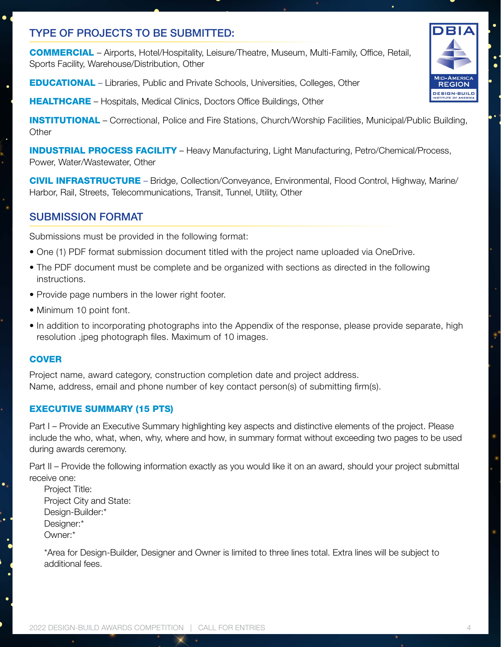# TYPE OF PROJECTS TO BE SUBMITTED:

COMMERCIAL – Airports, Hotel/Hospitality, Leisure/Theatre, Museum, Multi-Family, Office, Retail, Sports Facility, Warehouse/Distribution, Other

EDUCATIONAL – Libraries, Public and Private Schools, Universities, Colleges, Other

**HEALTHCARE** – Hospitals, Medical Clinics, Doctors Office Buildings, Other

INSTITUTIONAL – Correctional, Police and Fire Stations, Church/Worship Facilities, Municipal/Public Building, **Other** 

INDUSTRIAL PROCESS FACILITY – Heavy Manufacturing, Light Manufacturing, Petro/Chemical/Process, Power, Water/Wastewater, Other

CIVIL INFRASTRUCTURE – Bridge, Collection/Conveyance, Environmental, Flood Control, Highway, Marine/ Harbor, Rail, Streets, Telecommunications, Transit, Tunnel, Utility, Other

### SUBMISSION FORMAT

Submissions must be provided in the following format:

- One (1) PDF format submission document titled with the project name uploaded via OneDrive.
- The PDF document must be complete and be organized with sections as directed in the following instructions.
- Provide page numbers in the lower right footer.
- Minimum 10 point font.
- In addition to incorporating photographs into the Appendix of the response, please provide separate, high resolution .jpeg photograph files. Maximum of 10 images.

#### **COVER**

ļ.

ė

Project name, award category, construction completion date and project address. Name, address, email and phone number of key contact person(s) of submitting firm(s).

#### EXECUTIVE SUMMARY (15 PTS)

Part I – Provide an Executive Summary highlighting key aspects and distinctive elements of the project. Please include the who, what, when, why, where and how, in summary format without exceeding two pages to be used during awards ceremony.

Part II – Provide the following information exactly as you would like it on an award, should your project submittal receive one:

Project Title: Project City and State: Design-Builder:\* Designer:\* Owner:\*

\*Area for Design-Builder, Designer and Owner is limited to three lines total. Extra lines will be subject to additional fees.

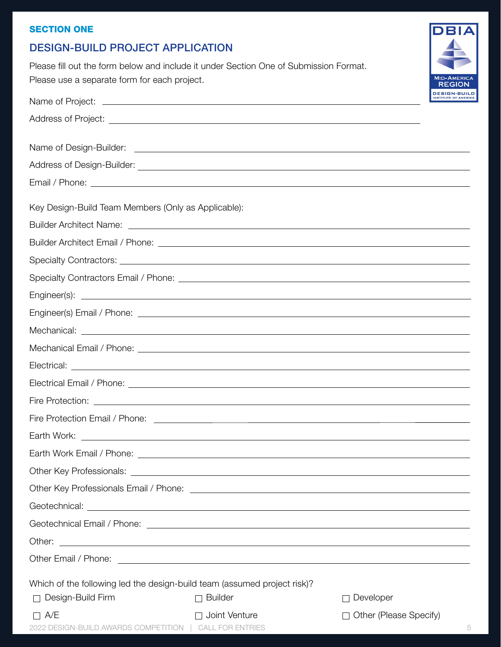### **SECTION ONE**

# DESIGN-BUILD PROJECT APPLICATION

Please fill out the form below and include it under Section One of Submission Format. Please use a separate form for each project.

|                                                                       |                                                                                                                                                                                                                               | DESIGN-BUIL<br><b>INSTITUTE OF AMERIC</b> |
|-----------------------------------------------------------------------|-------------------------------------------------------------------------------------------------------------------------------------------------------------------------------------------------------------------------------|-------------------------------------------|
|                                                                       |                                                                                                                                                                                                                               |                                           |
|                                                                       |                                                                                                                                                                                                                               |                                           |
|                                                                       |                                                                                                                                                                                                                               |                                           |
|                                                                       | Email / Phone: Letters and the second contract of the second contract of the second contract of the second contract of the second contract of the second contract of the second contract of the second contract of the second |                                           |
| Key Design-Build Team Members (Only as Applicable):                   |                                                                                                                                                                                                                               |                                           |
|                                                                       |                                                                                                                                                                                                                               |                                           |
|                                                                       |                                                                                                                                                                                                                               |                                           |
|                                                                       |                                                                                                                                                                                                                               |                                           |
|                                                                       |                                                                                                                                                                                                                               |                                           |
|                                                                       |                                                                                                                                                                                                                               |                                           |
|                                                                       |                                                                                                                                                                                                                               |                                           |
|                                                                       |                                                                                                                                                                                                                               |                                           |
|                                                                       |                                                                                                                                                                                                                               |                                           |
|                                                                       |                                                                                                                                                                                                                               |                                           |
|                                                                       | Electrical Email / Phone: Lectrical Email / Phone: Lectrical Annual Annual Annual Annual Annual Annual Annual                                                                                                                 |                                           |
|                                                                       |                                                                                                                                                                                                                               |                                           |
|                                                                       |                                                                                                                                                                                                                               |                                           |
|                                                                       |                                                                                                                                                                                                                               |                                           |
|                                                                       |                                                                                                                                                                                                                               |                                           |
|                                                                       |                                                                                                                                                                                                                               |                                           |
|                                                                       |                                                                                                                                                                                                                               |                                           |
|                                                                       |                                                                                                                                                                                                                               |                                           |
|                                                                       |                                                                                                                                                                                                                               |                                           |
| Other:                                                                | <u> 1989 - Johann Harry Harry Harry Harry Harry Harry Harry Harry Harry Harry Harry Harry Harry Harry Harry Harry</u>                                                                                                         |                                           |
|                                                                       |                                                                                                                                                                                                                               |                                           |
|                                                                       | Which of the following led the design-build team (assumed project risk)?                                                                                                                                                      |                                           |
| □ Design-Build Firm                                                   | <b>Builder</b>                                                                                                                                                                                                                | Developer                                 |
| $\Box$ A/E<br>2022 DESIGN-BUILD AWARDS COMPETITION   CALL FOR ENTRIES | $\Box$ Joint Venture                                                                                                                                                                                                          | Other (Please Specify)<br>П               |

D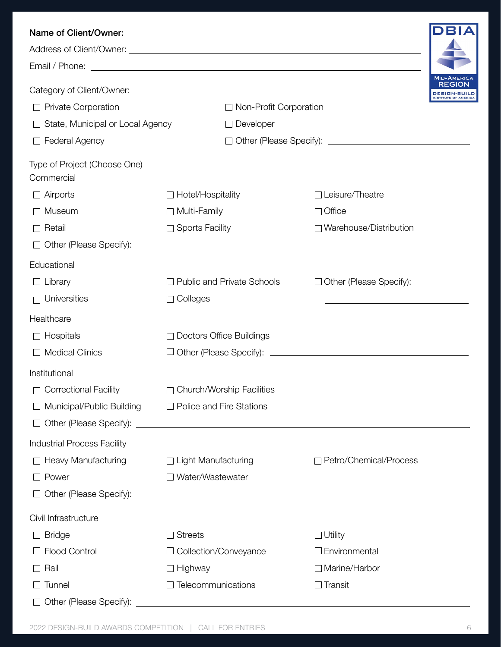| Name of Client/Owner:                      |                                                                                                                                                                                                                                     |                                                                                           |                                                            |
|--------------------------------------------|-------------------------------------------------------------------------------------------------------------------------------------------------------------------------------------------------------------------------------------|-------------------------------------------------------------------------------------------|------------------------------------------------------------|
|                                            | Address of Client/Owner: <u>contract and a series of client</u> of client of the series of client of the series of client of the series of the series of client of the series of the series of the series of the series of the seri |                                                                                           |                                                            |
|                                            |                                                                                                                                                                                                                                     |                                                                                           |                                                            |
| Category of Client/Owner:                  |                                                                                                                                                                                                                                     |                                                                                           | <b>MID-AMERICA</b><br>REGION<br><b>ISTITUTE OF AMERICA</b> |
| Private Corporation                        | $\Box$ Non-Profit Corporation                                                                                                                                                                                                       |                                                                                           |                                                            |
| State, Municipal or Local Agency           | Developer                                                                                                                                                                                                                           |                                                                                           |                                                            |
| Federal Agency<br>$\Box$                   |                                                                                                                                                                                                                                     |                                                                                           |                                                            |
| Type of Project (Choose One)<br>Commercial |                                                                                                                                                                                                                                     |                                                                                           |                                                            |
| Airports                                   | Hotel/Hospitality                                                                                                                                                                                                                   | Leisure/Theatre                                                                           |                                                            |
| Museum                                     | Multi-Family                                                                                                                                                                                                                        | $\Box$ Office                                                                             |                                                            |
| Retail<br>$\Box$                           | <b>Sports Facility</b>                                                                                                                                                                                                              | □ Warehouse/Distribution                                                                  |                                                            |
| $\Box$                                     |                                                                                                                                                                                                                                     |                                                                                           |                                                            |
| Educational                                |                                                                                                                                                                                                                                     |                                                                                           |                                                            |
| $\Box$ Library                             | <b>Public and Private Schools</b>                                                                                                                                                                                                   | Other (Please Specify):<br>$\Box$                                                         |                                                            |
| $\Box$ Universities                        | Colleges                                                                                                                                                                                                                            | the control of the control of the control of the control of the control of the control of |                                                            |
| Healthcare                                 |                                                                                                                                                                                                                                     |                                                                                           |                                                            |
| $\Box$ Hospitals                           | <b>Doctors Office Buildings</b>                                                                                                                                                                                                     |                                                                                           |                                                            |
| <b>Medical Clinics</b>                     |                                                                                                                                                                                                                                     |                                                                                           |                                                            |
| Institutional                              |                                                                                                                                                                                                                                     |                                                                                           |                                                            |
| <b>Correctional Facility</b>               | □ Church/Worship Facilities                                                                                                                                                                                                         |                                                                                           |                                                            |
| Municipal/Public Building                  | $\Box$ Police and Fire Stations                                                                                                                                                                                                     |                                                                                           |                                                            |
|                                            |                                                                                                                                                                                                                                     |                                                                                           |                                                            |
| <b>Industrial Process Facility</b>         |                                                                                                                                                                                                                                     |                                                                                           |                                                            |
| <b>Heavy Manufacturing</b>                 | □ Light Manufacturing                                                                                                                                                                                                               | □ Petro/Chemical/Process                                                                  |                                                            |
| Power                                      | Water/Wastewater                                                                                                                                                                                                                    |                                                                                           |                                                            |
|                                            |                                                                                                                                                                                                                                     |                                                                                           |                                                            |
| Civil Infrastructure                       |                                                                                                                                                                                                                                     |                                                                                           |                                                            |
| <b>Bridge</b>                              | <b>Streets</b>                                                                                                                                                                                                                      | $\square$ Utility                                                                         |                                                            |
| Flood Control                              | Collection/Conveyance                                                                                                                                                                                                               | $\Box$ Environmental                                                                      |                                                            |
| Rail                                       | Highway                                                                                                                                                                                                                             | □ Marine/Harbor                                                                           |                                                            |
| Tunnel                                     | Telecommunications                                                                                                                                                                                                                  | $\Box$ Transit                                                                            |                                                            |
| Other (Please Specify):                    |                                                                                                                                                                                                                                     |                                                                                           |                                                            |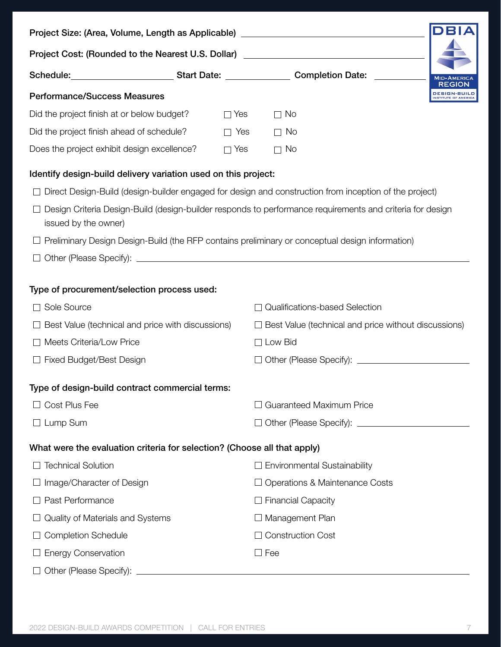|                                                                          |                | Project Size: (Area, Volume, Length as Applicable) _____________________________                           |              |
|--------------------------------------------------------------------------|----------------|------------------------------------------------------------------------------------------------------------|--------------|
|                                                                          |                | Project Cost: (Rounded to the Nearest U.S. Dollar) _____________________________                           |              |
|                                                                          |                | Schedule: ___________________________________Start Date: ______________________Completion Date: __________ |              |
| <b>Performance/Success Measures</b>                                      |                |                                                                                                            | DESIGN-BUILD |
| Did the project finish at or below budget?                               | $\Box$ Yes     | $\Box$ No                                                                                                  |              |
| Did the project finish ahead of schedule?                                | Yes<br>$\perp$ | $\Box$ No                                                                                                  |              |
| Does the project exhibit design excellence?                              | $\Box$ Yes     | No<br>$\Box$                                                                                               |              |
| Identify design-build delivery variation used on this project:           |                |                                                                                                            |              |
|                                                                          |                | Direct Design-Build (design-builder engaged for design and construction from inception of the project)     |              |
| issued by the owner)                                                     |                | Design Criteria Design-Build (design-builder responds to performance requirements and criteria for design  |              |
|                                                                          |                | Preliminary Design Design-Build (the RFP contains preliminary or conceptual design information)            |              |
|                                                                          |                |                                                                                                            |              |
| Type of procurement/selection process used:<br>Sole Source               |                | Qualifications-based Selection                                                                             |              |
| Best Value (technical and price with discussions)                        |                | $\Box$ Best Value (technical and price without discussions)                                                |              |
| Meets Criteria/Low Price                                                 |                | $\Box$ Low Bid                                                                                             |              |
| <b>Fixed Budget/Best Design</b>                                          |                | □ Other (Please Specify): <u>__________________________</u>                                                |              |
| Type of design-build contract commercial terms:                          |                |                                                                                                            |              |
| Cost Plus Fee                                                            |                | <b>Guaranteed Maximum Price</b>                                                                            |              |
| Lump Sum                                                                 |                | □ Other (Please Specify): <u>_________________________</u>                                                 |              |
| What were the evaluation criteria for selection? (Choose all that apply) |                |                                                                                                            |              |
| <b>Technical Solution</b>                                                |                | $\Box$ Environmental Sustainability                                                                        |              |
| Image/Character of Design                                                |                | $\Box$ Operations & Maintenance Costs                                                                      |              |
| Past Performance                                                         |                | $\Box$ Financial Capacity                                                                                  |              |
| Quality of Materials and Systems                                         |                | $\Box$ Management Plan                                                                                     |              |
| <b>Completion Schedule</b>                                               |                | <b>Construction Cost</b>                                                                                   |              |
| <b>Energy Conservation</b>                                               |                | $\Box$ Fee                                                                                                 |              |
| Other (Please Specify):                                                  |                |                                                                                                            |              |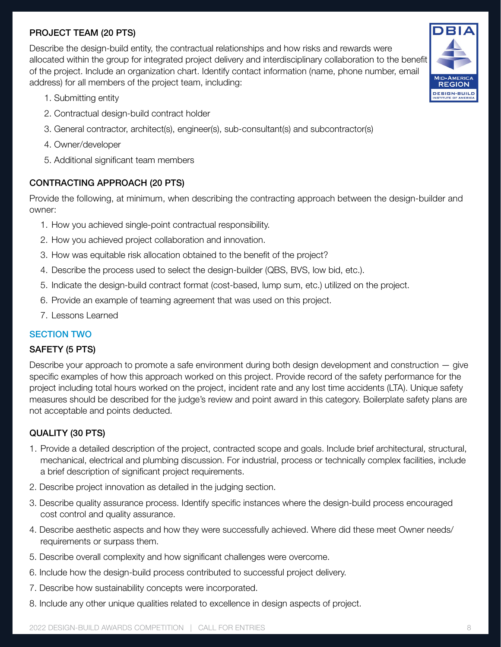# PROJECT TEAM (20 PTS)

Describe the design-build entity, the contractual relationships and how risks and rewards were allocated within the group for integrated project delivery and interdisciplinary collaboration to the benefit of the project. Include an organization chart. Identify contact information (name, phone number, email address) for all members of the project team, including:

- 1. Submitting entity
- 2. Contractual design-build contract holder
- 3. General contractor, architect(s), engineer(s), sub-consultant(s) and subcontractor(s)
- 4. Owner/developer
- 5. Additional significant team members

### CONTRACTING APPROACH (20 PTS)

Provide the following, at minimum, when describing the contracting approach between the design-builder and owner:

- 1. How you achieved single-point contractual responsibility.
- 2. How you achieved project collaboration and innovation.
- 3. How was equitable risk allocation obtained to the benefit of the project?
- 4. Describe the process used to select the design-builder (QBS, BVS, low bid, etc.).
- 5. Indicate the design-build contract format (cost-based, lump sum, etc.) utilized on the project.
- 6. Provide an example of teaming agreement that was used on this project.
- 7. Lessons Learned

### SECTION TWO

#### SAFETY (5 PTS)

Describe your approach to promote a safe environment during both design development and construction — give specific examples of how this approach worked on this project. Provide record of the safety performance for the project including total hours worked on the project, incident rate and any lost time accidents (LTA). Unique safety measures should be described for the judge's review and point award in this category. Boilerplate safety plans are not acceptable and points deducted.

### QUALITY (30 PTS)

- 1. Provide a detailed description of the project, contracted scope and goals. Include brief architectural, structural, mechanical, electrical and plumbing discussion. For industrial, process or technically complex facilities, include a brief description of significant project requirements.
- 2. Describe project innovation as detailed in the judging section.
- 3. Describe quality assurance process. Identify specific instances where the design-build process encouraged cost control and quality assurance.
- 4. Describe aesthetic aspects and how they were successfully achieved. Where did these meet Owner needs/ requirements or surpass them.
- 5. Describe overall complexity and how significant challenges were overcome.
- 6. Include how the design-build process contributed to successful project delivery.
- 7. Describe how sustainability concepts were incorporated.
- 8. Include any other unique qualities related to excellence in design aspects of project.